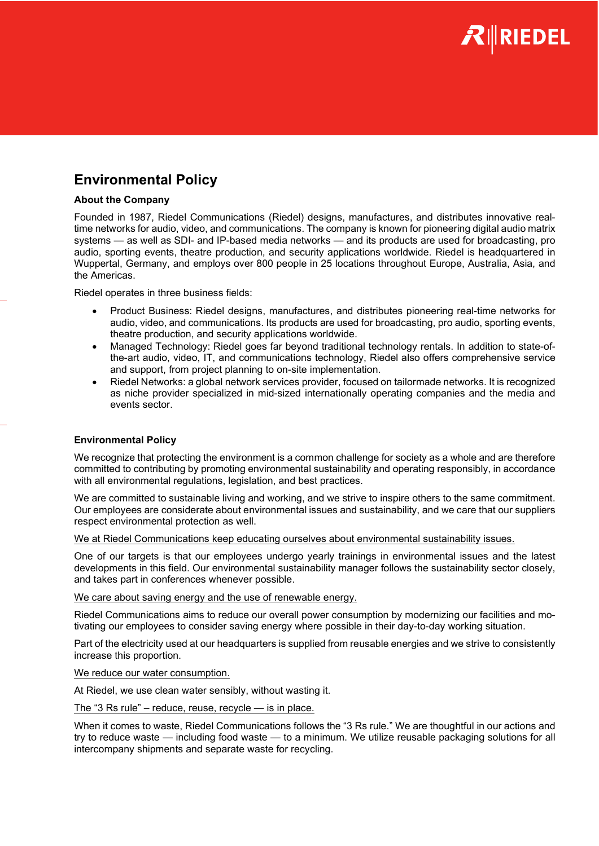

# Environmental Policy

## About the Company

Founded in 1987, Riedel Communications (Riedel) designs, manufactures, and distributes innovative realtime networks for audio, video, and communications. The company is known for pioneering digital audio matrix systems — as well as SDI- and IP-based media networks — and its products are used for broadcasting, pro audio, sporting events, theatre production, and security applications worldwide. Riedel is headquartered in Wuppertal, Germany, and employs over 800 people in 25 locations throughout Europe, Australia, Asia, and the Americas.

Riedel operates in three business fields:

- Product Business: Riedel designs, manufactures, and distributes pioneering real-time networks for audio, video, and communications. Its products are used for broadcasting, pro audio, sporting events, theatre production, and security applications worldwide.
- Managed Technology: Riedel goes far beyond traditional technology rentals. In addition to state-ofthe-art audio, video, IT, and communications technology, Riedel also offers comprehensive service and support, from project planning to on-site implementation.
- Riedel Networks: a global network services provider, focused on tailormade networks. It is recognized as niche provider specialized in mid-sized internationally operating companies and the media and events sector.

# Environmental Policy

We recognize that protecting the environment is a common challenge for society as a whole and are therefore committed to contributing by promoting environmental sustainability and operating responsibly, in accordance with all environmental regulations, legislation, and best practices.

We are committed to sustainable living and working, and we strive to inspire others to the same commitment. Our employees are considerate about environmental issues and sustainability, and we care that our suppliers respect environmental protection as well.

We at Riedel Communications keep educating ourselves about environmental sustainability issues.

One of our targets is that our employees undergo yearly trainings in environmental issues and the latest developments in this field. Our environmental sustainability manager follows the sustainability sector closely, and takes part in conferences whenever possible.

We care about saving energy and the use of renewable energy.

Riedel Communications aims to reduce our overall power consumption by modernizing our facilities and motivating our employees to consider saving energy where possible in their day-to-day working situation.

Part of the electricity used at our headquarters is supplied from reusable energies and we strive to consistently increase this proportion.

We reduce our water consumption.

At Riedel, we use clean water sensibly, without wasting it.

The "3 Rs rule" – reduce, reuse, recycle — is in place.

When it comes to waste, Riedel Communications follows the "3 Rs rule." We are thoughtful in our actions and try to reduce waste — including food waste — to a minimum. We utilize reusable packaging solutions for all intercompany shipments and separate waste for recycling.